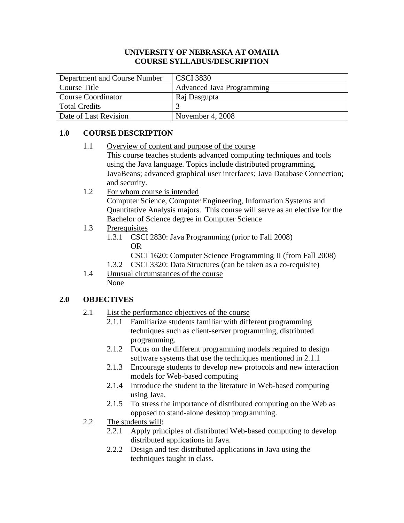#### **UNIVERSITY OF NEBRASKA AT OMAHA COURSE SYLLABUS/DESCRIPTION**

| Department and Course Number                     | <b>CSCI 3830</b> |
|--------------------------------------------------|------------------|
| <b>Advanced Java Programming</b><br>Course Title |                  |
| <b>Course Coordinator</b>                        | Raj Dasgupta     |
| <b>Total Credits</b>                             |                  |
| Date of Last Revision                            | November 4, 2008 |

# **1.0 COURSE DESCRIPTION**

- 1.1 Overview of content and purpose of the course This course teaches students advanced computing techniques and tools using the Java language. Topics include distributed programming, JavaBeans; advanced graphical user interfaces; Java Database Connection; and security.
- 1.2 For whom course is intended

Computer Science, Computer Engineering, Information Systems and Quantitative Analysis majors. This course will serve as an elective for the Bachelor of Science degree in Computer Science

- 1.3 Prerequisites
	- 1.3.1 CSCI 2830: Java Programming (prior to Fall 2008) OR
		- CSCI 1620: Computer Science Programming II (from Fall 2008)
	- 1.3.2 CSCI 3320: Data Structures (can be taken as a co-requisite)
- 1.4 Unusual circumstances of the course None

## **2.0 OBJECTIVES**

- 2.1 List the performance objectives of the course
	- 2.1.1 Familiarize students familiar with different programming techniques such as client-server programming, distributed programming.
	- 2.1.2 Focus on the different programming models required to design software systems that use the techniques mentioned in 2.1.1
	- 2.1.3 Encourage students to develop new protocols and new interaction models for Web-based computing
	- 2.1.4 Introduce the student to the literature in Web-based computing using Java.
	- 2.1.5 To stress the importance of distributed computing on the Web as opposed to stand-alone desktop programming.
- 2.2 The students will:
	- 2.2.1 Apply principles of distributed Web-based computing to develop distributed applications in Java.
	- 2.2.2 Design and test distributed applications in Java using the techniques taught in class.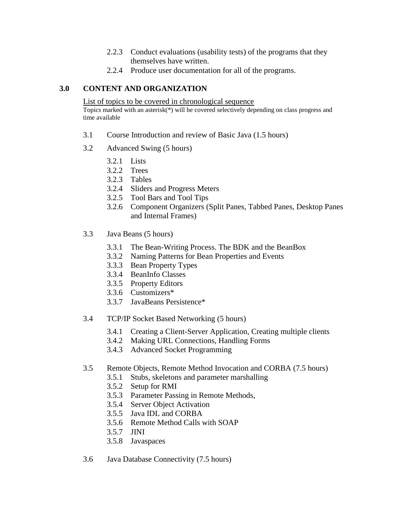- 2.2.3 Conduct evaluations (usability tests) of the programs that they themselves have written.
- 2.2.4 Produce user documentation for all of the programs.

## **3.0 CONTENT AND ORGANIZATION**

List of topics to be covered in chronological sequence

Topics marked with an asterisk(\*) will be covered selectively depending on class progress and time available

- 3.1 Course Introduction and review of Basic Java (1.5 hours)
- 3.2 Advanced Swing (5 hours)
	- 3.2.1 Lists
	- 3.2.2 Trees
	- 3.2.3 Tables
	- 3.2.4 Sliders and Progress Meters
	- 3.2.5 Tool Bars and Tool Tips
	- 3.2.6 Component Organizers (Split Panes, Tabbed Panes, Desktop Panes and Internal Frames)
- 3.3 Java Beans (5 hours)
	- 3.3.1 The Bean-Writing Process. The BDK and the BeanBox
	- 3.3.2 Naming Patterns for Bean Properties and Events
	- 3.3.3 Bean Property Types
	- 3.3.4 BeanInfo Classes
	- 3.3.5 Property Editors
	- 3.3.6 Customizers\*
	- 3.3.7 JavaBeans Persistence\*
- 3.4 TCP/IP Socket Based Networking (5 hours)
	- 3.4.1 Creating a Client-Server Application, Creating multiple clients
	- 3.4.2 Making URL Connections, Handling Forms
	- 3.4.3 Advanced Socket Programming
- 3.5 Remote Objects, Remote Method Invocation and CORBA (7.5 hours)
	- 3.5.1 Stubs, skeletons and parameter marshalling
	- 3.5.2 Setup for RMI
	- 3.5.3 Parameter Passing in Remote Methods,
	- 3.5.4 Server Object Activation
	- 3.5.5 Java IDL and CORBA
	- 3.5.6 Remote Method Calls with SOAP
	- 3.5.7 JINI
	- 3.5.8 Javaspaces
- 3.6 Java Database Connectivity (7.5 hours)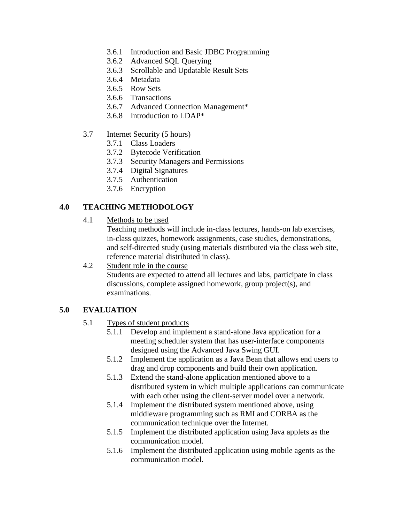- 3.6.1 Introduction and Basic JDBC Programming
- 3.6.2 Advanced SQL Querying
- 3.6.3 Scrollable and Updatable Result Sets
- 3.6.4 Metadata
- 3.6.5 Row Sets
- 3.6.6 Transactions
- 3.6.7 Advanced Connection Management\*
- 3.6.8 Introduction to LDAP\*

#### 3.7 Internet Security (5 hours)

- 3.7.1 Class Loaders
- 3.7.2 Bytecode Verification
- 3.7.3 Security Managers and Permissions
- 3.7.4 Digital Signatures
- 3.7.5 Authentication
- 3.7.6 Encryption

#### **4.0 TEACHING METHODOLOGY**

4.1 Methods to be used

Teaching methods will include in-class lectures, hands-on lab exercises, in-class quizzes, homework assignments, case studies, demonstrations, and self-directed study (using materials distributed via the class web site, reference material distributed in class).

## 4.2 Student role in the course

Students are expected to attend all lectures and labs, participate in class discussions, complete assigned homework, group project(s), and examinations.

#### **5.0 EVALUATION**

- 5.1 Types of student products
	- 5.1.1 Develop and implement a stand-alone Java application for a meeting scheduler system that has user-interface components designed using the Advanced Java Swing GUI.
	- 5.1.2 Implement the application as a Java Bean that allows end users to drag and drop components and build their own application.
	- 5.1.3 Extend the stand-alone application mentioned above to a distributed system in which multiple applications can communicate with each other using the client-server model over a network.
	- 5.1.4 Implement the distributed system mentioned above, using middleware programming such as RMI and CORBA as the communication technique over the Internet.
	- 5.1.5 Implement the distributed application using Java applets as the communication model.
	- 5.1.6 Implement the distributed application using mobile agents as the communication model.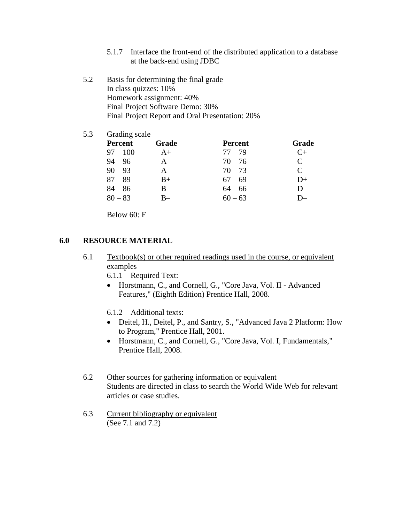- 5.1.7 Interface the front-end of the distributed application to a database at the back-end using JDBC
- 5.2 Basis for determining the final grade In class quizzes: 10% Homework assignment: 40% Final Project Software Demo: 30% Final Project Report and Oral Presentation: 20%
- 5.3 Grading scale

| <b>Percent</b> | Grade        | <b>Percent</b> | Grade                 |
|----------------|--------------|----------------|-----------------------|
| $97 - 100$     | $A+$         | $77 - 79$      | $C_{\pm}$             |
| $94 - 96$      | $\mathsf{A}$ | $70 - 76$      | $\mathcal{C}_{\cdot}$ |
| $90 - 93$      | $A-$         | $70 - 73$      | $C-$                  |
| $87 - 89$      | $B+$         | $67 - 69$      | $D+$                  |
| $84 - 86$      | B            | $64 - 66$      | D                     |
| $80 - 83$      | B–           | $60 - 63$      | D—                    |

Below 60: F

## **6.0 RESOURCE MATERIAL**

- 6.1 Textbook(s) or other required readings used in the course, or equivalent examples
	- 6.1.1 Required Text:
	- Horstmann, C., and Cornell, G., "Core Java, Vol. II Advanced Features," (Eighth Edition) Prentice Hall, 2008.
	- 6.1.2 Additional texts:
	- Deitel, H., Deitel, P., and Santry, S., "Advanced Java 2 Platform: How to Program," Prentice Hall, 2001.
	- Horstmann, C., and Cornell, G., "Core Java, Vol. I, Fundamentals," Prentice Hall, 2008.
- 6.2 Other sources for gathering information or equivalent Students are directed in class to search the World Wide Web for relevant articles or case studies.
- 6.3 Current bibliography or equivalent (See 7.1 and 7.2)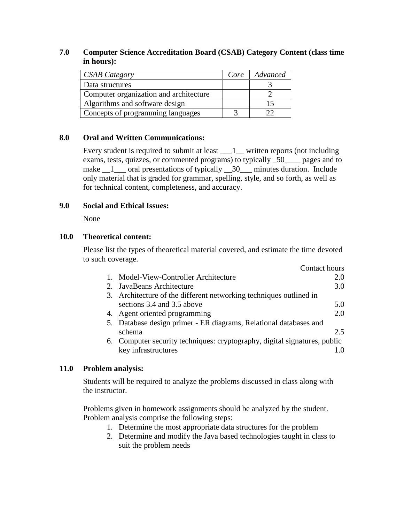## **7.0 Computer Science Accreditation Board (CSAB) Category Content (class time in hours):**

| <b>CSAB Category</b>                   | Core | Advanced |
|----------------------------------------|------|----------|
| Data structures                        |      |          |
| Computer organization and architecture |      |          |
| Algorithms and software design         |      |          |
| Concepts of programming languages      |      |          |

# **8.0 Oral and Written Communications:**

Every student is required to submit at least  $\_\_1$  written reports (not including exams, tests, quizzes, or commented programs) to typically \_50\_\_\_\_ pages and to make  $\frac{1}{\sqrt{1-\frac{1}{\sqrt{1-\frac{1}{\sqrt{1-\frac{1}{\sqrt{1-\frac{1}{\sqrt{1-\frac{1}{\sqrt{1-\frac{1}{\sqrt{1-\frac{1}{\sqrt{1-\frac{1}{\sqrt{1-\frac{1}{\sqrt{1-\frac{1}{\sqrt{1-\frac{1}{\sqrt{1-\frac{1}{\sqrt{1-\frac{1}{\sqrt{1-\frac{1}{\sqrt{1-\frac{1}{\sqrt{1-\frac{1}{\sqrt{1-\frac{1}{\sqrt{1-\frac{1}{\sqrt{1-\frac{1}{\sqrt{1-\frac{1}{\sqrt{1-\frac{1}{\sqrt{1-\frac{1}{\sqrt{1-\frac{1}{\sqrt{$ only material that is graded for grammar, spelling, style, and so forth, as well as for technical content, completeness, and accuracy.

## **9.0 Social and Ethical Issues:**

None

#### **10.0 Theoretical content:**

Please list the types of theoretical material covered, and estimate the time devoted to such coverage.  $C$ cutact  $h$ 

| Contact hours                                                             |     |
|---------------------------------------------------------------------------|-----|
| Model-View-Controller Architecture                                        | 2.0 |
| 2. JavaBeans Architecture                                                 | 3.0 |
| 3. Architecture of the different networking techniques outlined in        |     |
| sections 3.4 and 3.5 above                                                | 5.0 |
| 4. Agent oriented programming                                             | 2.0 |
| 5. Database design primer - ER diagrams, Relational databases and         |     |
| schema                                                                    | 2.5 |
| 6. Computer security techniques: cryptography, digital signatures, public |     |
| key infrastructures                                                       |     |

## **11.0 Problem analysis:**

Students will be required to analyze the problems discussed in class along with the instructor.

Problems given in homework assignments should be analyzed by the student. Problem analysis comprise the following steps:

- 1. Determine the most appropriate data structures for the problem
- 2. Determine and modify the Java based technologies taught in class to suit the problem needs